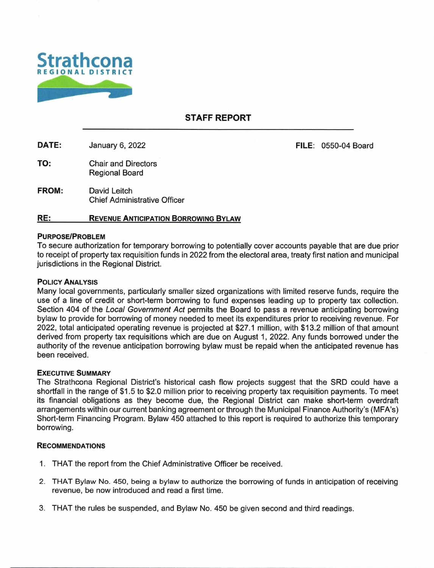

## **STAFF REPORT**

DATE: January 6, 2022 **FILE:** 0550-04 Board

TO: Chair and Directors Regional Board

**FROM:** David Leitch Chief Administrative Officer

### **RE: REVENUE ANTICIPATION BORROWING BYLAW**

#### **PURPOSE/PROBLEM**

To secure authorization for temporary borrowing to potentially cover accounts payable that are due prior to receipt of property tax requisition funds in 2022 from the electoral area, treaty first nation and municipal jurisdictions in the Regional District.

#### POLICY ANALYSIS

Many local governments, particularly smaller sized organizations with limited reserve funds, require the use of a line of credit or short-term borrowing to fund expenses leading up to property tax collection. Section 404 of the Local Government Act permits the Board to pass a revenue anticipating borrowing bylaw to provide for borrowing of money needed to meet its expenditures prior to receiving revenue. For 2022, total anticipated operating revenue is projected at \$27.1 million, with \$13.2 million of that amount derived from property tax requisitions which are due on August 1, 2022. Any funds borrowed under the authority of the revenue anticipation borrowing bylaw must be repaid when the anticipated revenue has been received.

#### **EXECUTIVE SUMMARY**

The Strathcona Regional District's historical cash flow projects suggest that the SRD could have a shortfall in the range of \$1.5 to \$2.0 million prior to receiving property tax requisition payments. To meet its financial obligations as they become due, the Regional District can make short-term overdraft arrangements within our current banking agreement or through the Municipal Finance Authority's (MFA's) Short-term Financing Program. Bylaw 450 attached to this report is required to authorize this temporary borrowing.

#### **RECOMMENDATIONS**

- 1. THAT the report from the Chief Administrative Officer be received.
- 2. THAT Bylaw No. 450, being a bylaw to authorize the borrowing of funds in anticipation of receiving revenue, be now introduced and read a first time.
- 3. THAT the rules be suspended, and Bylaw No. 450 be given second and third readings.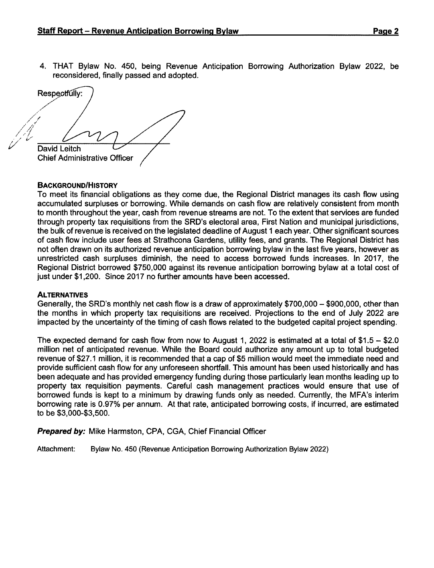4. THAT Bylaw No. 450, being Revenue Anticipation Borrowing Authorization Bylaw 2022, be reconsidered, finally passed and adopted.

Respectfully: David Leitch Chief Administrative Officer

## **BACKGROUND/HISTORY**

To meet its financial obligations as they come due, the Regional District manages its cash flow using accumulated surpluses or borrowing. While demands on cash flow are relatively consistent from month to month throughout the year, cash from revenue streams are not. To the extent that services are funded through property tax requisitions from the SRD's electoral area, First Nation and municipal jurisdictions, the bulk of revenue is received on the legislated deadline of August 1 each year. Other significant sources of cash flow include user fees at Strathcona Gardens, utility fees, and grants. The Regional District has not often drawn on its authorized revenue anticipation borrowing bylaw in the last five years, however as unrestricted cash surpluses diminish, the need to access borrowed funds increases. In 2017, the Regional District borrowed \$750,000 against its revenue anticipation borrowing bylaw at a total cost of just under \$1,200. Since 2017 no further amounts have been accessed.

### **ALTERNATIVES**

Generally, the SRD's monthly net cash flow is a draw of approximately \$700,000 — \$900,000, other than the months in which property tax requisitions are received. Projections to the end of July 2022 are impacted by the uncertainty of the timing of cash flows related to the budgeted capital project spending.

The expected demand for cash flow from now to August 1, 2022 is estimated at a total of \$1.5 — \$2.0 million net of anticipated revenue. While the Board could authorize any amount up to total budgeted revenue of \$27.1 million, it is recommended that a cap of \$5 million would meet the immediate need and provide sufficient cash flow for any unforeseen shortfall. This amount has been used historically and has been adequate and has provided emergency funding during those particularly lean months leading up to property tax requisition payments. Careful cash management practices would ensure that use of borrowed funds is kept to a minimum by drawing funds only as needed. Currently, the MFA's interim borrowing rate is 0.97% per annum. At that rate, anticipated borrowing costs, if incurred, are estimated to be \$3,000-\$3,500.

**Prepared by:** Mike Harmston, CPA, CGA, Chief Financial Officer

**Attachment: Bylaw No. 450 (Revenue** Anticipation Borrowing Authorization **Bylaw** 2022)